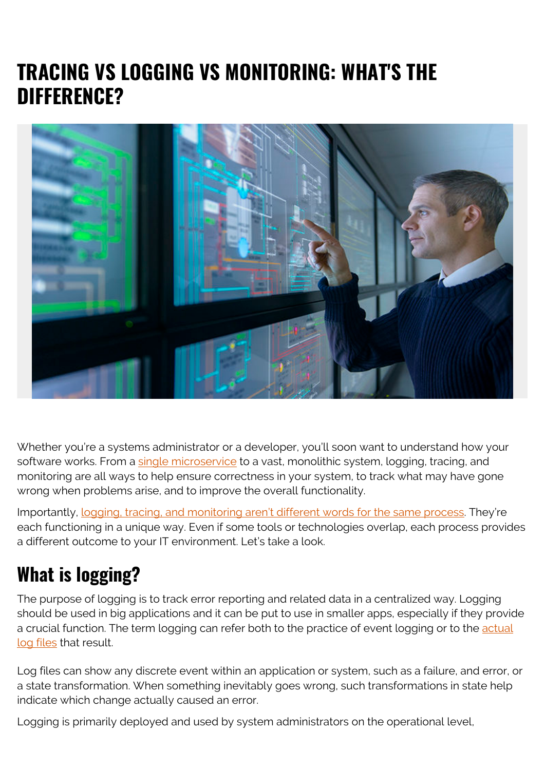# **TRACING VS LOGGING VS MONITORING: WHAT'S THE DIFFERENCE?**



Whether you're a systems administrator or a developer, you'll soon want to understand how your software works. From a [single microservice](https://blogs.bmc.com/blogs/microservices-architecture/) to a vast, monolithic system, logging, tracing, and monitoring are all ways to help ensure correctness in your system, to track what may have gone wrong when problems arise, and to improve the overall functionality.

Importantly, [logging, tracing, and monitoring aren't different words for the same process](https://winderresearch.com/logging-vs-tracing-vs-monitoring/). They're each functioning in a unique way. Even if some tools or technologies overlap, each process provides a different outcome to your IT environment. Let's take a look.

#### **What is logging?**

The purpose of logging is to track error reporting and related data in a centralized way. Logging should be used in big applications and it can be put to use in smaller apps, especially if they provide a crucial function. The term logging can refer both to the practice of event logging or to the [actual](https://en.wikipedia.org/wiki/Log_file) [log files](https://en.wikipedia.org/wiki/Log_file) that result.

Log files can show any discrete event within an application or system, such as a failure, and error, or a state transformation. When something inevitably goes wrong, such transformations in state help indicate which change actually caused an error.

Logging is primarily deployed and used by system administrators on the operational level,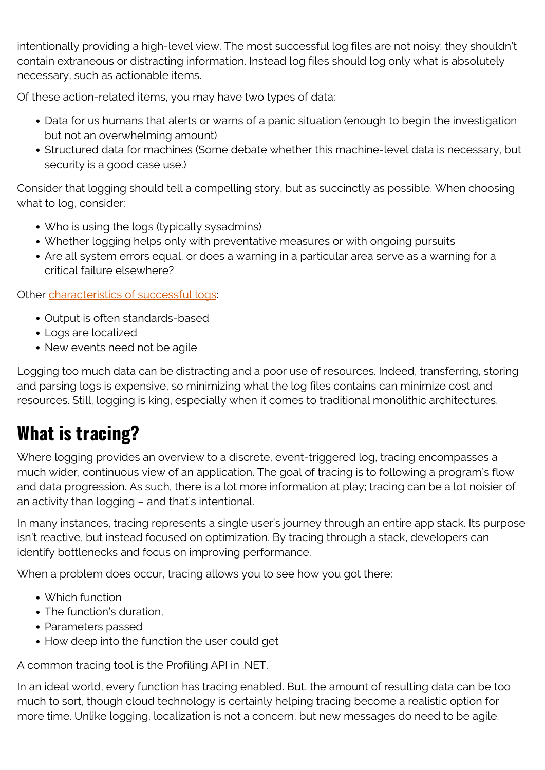intentionally providing a high-level view. The most successful log files are not noisy; they shouldn't contain extraneous or distracting information. Instead log files should log only what is absolutely necessary, such as actionable items.

Of these action-related items, you may have two types of data:

- Data for us humans that alerts or warns of a panic situation (enough to begin the investigation but not an overwhelming amount)
- Structured data for machines (Some debate whether this machine-level data is necessary, but security is a good case use.)

Consider that logging should tell a compelling story, but as succinctly as possible. When choosing what to log, consider:

- Who is using the logs (typically sysadmins)
- Whether logging helps only with preventative measures or with ongoing pursuits
- Are all system errors equal, or does a warning in a particular area serve as a warning for a critical failure elsewhere?

Other [characteristics of successful logs:](https://en.wikipedia.org/wiki/Tracing_(software))

- Output is often standards-based
- Logs are localized
- New events need not be agile

Logging too much data can be distracting and a poor use of resources. Indeed, transferring, storing and parsing logs is expensive, so minimizing what the log files contains can minimize cost and resources. Still, logging is king, especially when it comes to traditional monolithic architectures.

### **What is tracing?**

Where logging provides an overview to a discrete, event-triggered log, tracing encompasses a much wider, continuous view of an application. The goal of tracing is to following a program's flow and data progression. As such, there is a lot more information at play; tracing can be a lot noisier of an activity than logging – and that's intentional.

In many instances, tracing represents a single user's journey through an entire app stack. Its purpose isn't reactive, but instead focused on optimization. By tracing through a stack, developers can identify bottlenecks and focus on improving performance.

When a problem does occur, tracing allows you to see how you got there:

- Which function
- The function's duration.
- Parameters passed
- How deep into the function the user could get

A common tracing tool is the Profiling API in .NET.

In an ideal world, every function has tracing enabled. But, the amount of resulting data can be too much to sort, though cloud technology is certainly helping tracing become a realistic option for more time. Unlike logging, localization is not a concern, but new messages do need to be agile.